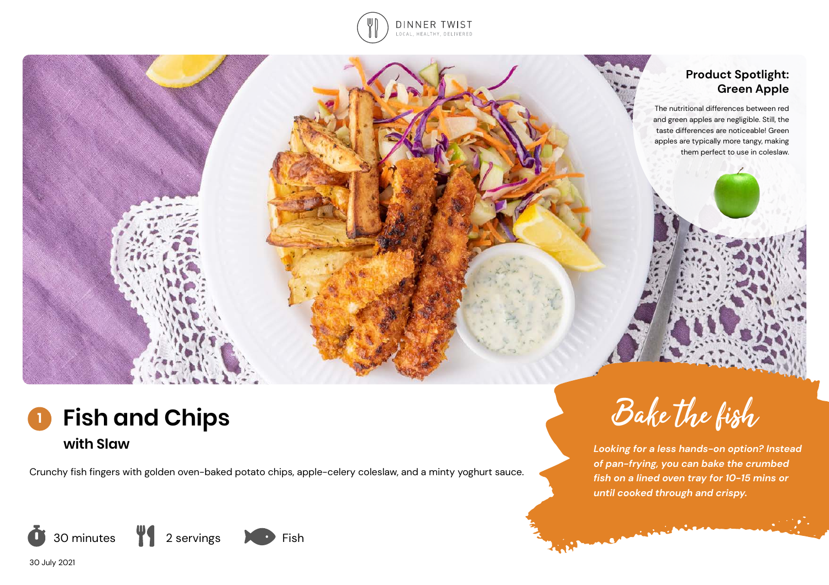

## **Product Spotlight: Green Apple**

The nutritional differences between red and green apples are negligible. Still, the taste differences are noticeable! Green apples are typically more tangy, making them perfect to use in coleslaw.

Bake the fish

*until cooked through and crispy.*

**CARL AND READY** 

*Looking for a less hands-on option? Instead of pan-frying, you can bake the crumbed fish on a lined oven tray for 10-15 mins or* 



Crunchy fish fingers with golden oven-baked potato chips, apple-celery coleslaw, and a minty yoghurt sauce.







30 July 2021